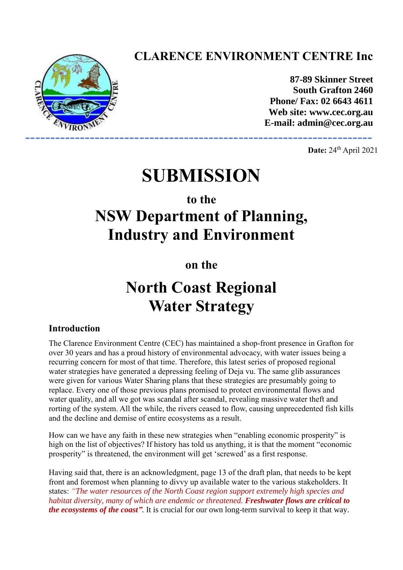## **CLARENCE ENVIRONMENT CENTRE Inc**



**87-89 Skinner Street South Grafton 2460 Phone/ Fax: 02 6643 4611 Web site: www.cec.org.au E-mail: admin@cec.org.au** 

**Date:** 24<sup>th</sup> April 2021

# **SUBMISSION**

## **to the**

# **NSW Department of Planning, Industry and Environment**

**on the**

## **North Coast Regional Water Strategy**

## **Introduction**

The Clarence Environment Centre (CEC) has maintained a shop-front presence in Grafton for over 30 years and has a proud history of environmental advocacy, with water issues being a recurring concern for most of that time. Therefore, this latest series of proposed regional water strategies have generated a depressing feeling of Deja vu. The same glib assurances were given for various Water Sharing plans that these strategies are presumably going to replace. Every one of those previous plans promised to protect environmental flows and water quality, and all we got was scandal after scandal, revealing massive water theft and rorting of the system. All the while, the rivers ceased to flow, causing unprecedented fish kills and the decline and demise of entire ecosystems as a result.

How can we have any faith in these new strategies when "enabling economic prosperity" is high on the list of objectives? If history has told us anything, it is that the moment "economic prosperity" is threatened, the environment will get 'screwed' as a first response.

Having said that, there is an acknowledgment, page 13 of the draft plan, that needs to be kept front and foremost when planning to divvy up available water to the various stakeholders. It states: *"The water resources of the North Coast region support extremely high species and habitat diversity, many of which are endemic or threatened. Freshwater flows are critical to the ecosystems of the coast".* It is crucial for our own long-term survival to keep it that way.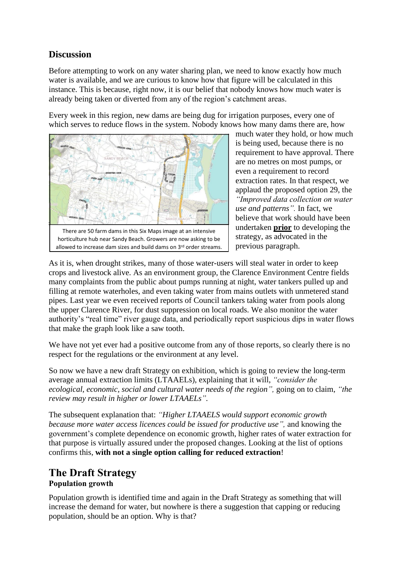## **Discussion**

Before attempting to work on any water sharing plan, we need to know exactly how much water is available, and we are curious to know how that figure will be calculated in this instance. This is because, right now, it is our belief that nobody knows how much water is already being taken or diverted from any of the region's catchment areas.

Every week in this region, new dams are being dug for irrigation purposes, every one of which serves to reduce flows in the system. Nobody knows how many dams there are, how



There are 50 farm dams in this Six Maps image at an intensive horticulture hub near Sandy Beach. Growers are now asking to be allowed to increase dam sizes and build dams on 3rd order streams.

much water they hold, or how much is being used, because there is no requirement to have approval. There are no metres on most pumps, or even a requirement to record extraction rates. In that respect, we applaud the proposed option 29, the *"Improved data collection on water use and patterns".* In fact, we believe that work should have been undertaken **prior** to developing the strategy, as advocated in the previous paragraph.

As it is, when drought strikes, many of those water-users will steal water in order to keep crops and livestock alive. As an environment group, the Clarence Environment Centre fields many complaints from the public about pumps running at night, water tankers pulled up and filling at remote waterholes, and even taking water from mains outlets with unmetered stand pipes. Last year we even received reports of Council tankers taking water from pools along the upper Clarence River, for dust suppression on local roads. We also monitor the water authority's "real time" river gauge data, and periodically report suspicious dips in water flows that make the graph look like a saw tooth.

We have not yet ever had a positive outcome from any of those reports, so clearly there is no respect for the regulations or the environment at any level.

So now we have a new draft Strategy on exhibition, which is going to review the long-term average annual extraction limits (LTAAELs), explaining that it will, *"consider the ecological, economic, social and cultural water needs of the region",* going on to claim, *"the review may result in higher or lower LTAAELs".*

The subsequent explanation that: *"Higher LTAAELS would support economic growth because more water access licences could be issued for productive use",* and knowing the government's complete dependence on economic growth, higher rates of water extraction for that purpose is virtually assured under the proposed changes. Looking at the list of options confirms this, **with not a single option calling for reduced extraction**!

## **The Draft Strategy Population growth**

Population growth is identified time and again in the Draft Strategy as something that will increase the demand for water, but nowhere is there a suggestion that capping or reducing population, should be an option. Why is that?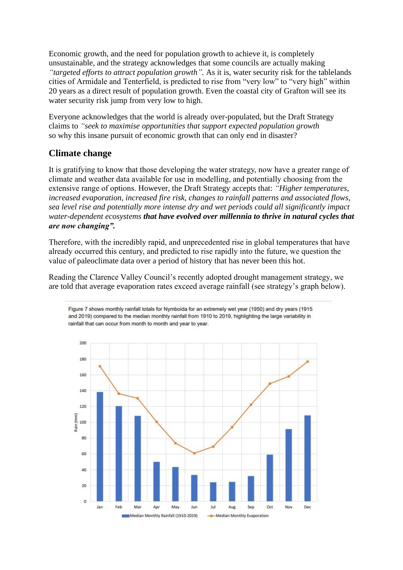Economic growth, and the need for population growth to achieve it, is completely unsustainable, and the strategy acknowledges that some councils are actually making *"targeted efforts to attract population growth".* As it is, water security risk for the tablelands cities of Armidale and Tenterfield, is predicted to rise from "very low" to "very high" within 20 years as a direct result of population growth. Even the coastal city of Grafton will see its water security risk jump from very low to high.

Everyone acknowledges that the world is already over-populated, but the Draft Strategy claims to *"seek to maximise opportunities that support expected population growth* so why this insane pursuit of economic growth that can only end in disaster?

## **Climate change**

It is gratifying to know that those developing the water strategy, now have a greater range of climate and weather data available for use in modelling, and potentially choosing from the extensive range of options. However, the Draft Strategy accepts that: *"Higher temperatures, increased evaporation, increased fire risk, changes to rainfall patterns and associated flows, sea level rise and potentially more intense dry and wet periods could all significantly impact water-dependent ecosystems that have evolved over millennia to thrive in natural cycles that are now changing".* 

Therefore, with the incredibly rapid, and unprecedented rise in global temperatures that have already occurred this century, and predicted to rise rapidly into the future, we question the value of paleoclimate data over a period of history that has never been this hot.

Reading the Clarence Valley Council's recently adopted drought management strategy, we are told that average evaporation rates exceed average rainfall (see strategy's graph below).



Figure 7 shows monthly rainfall totals for Nymboida for an extremely wet year (1950) and dry years (1915 and 2019) compared to the median monthly rainfall from 1910 to 2019, highlighting the large variability in rainfall that can occur from month to month and year to year.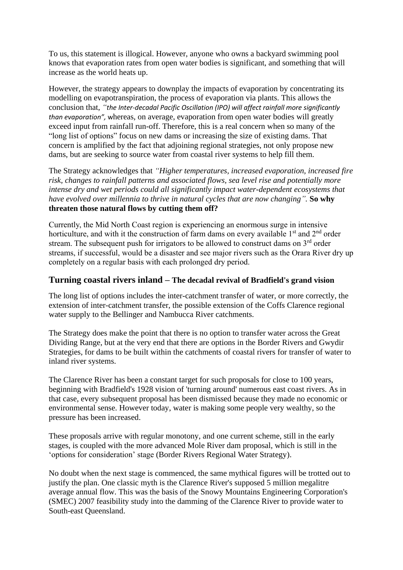To us, this statement is illogical. However, anyone who owns a backyard swimming pool knows that evaporation rates from open water bodies is significant, and something that will increase as the world heats up.

However, the strategy appears to downplay the impacts of evaporation by concentrating its modelling on evapotranspiration, the process of evaporation via plants. This allows the conclusion that, *"the Inter-decadal Pacific Oscillation (IPO) will affect rainfall more significantly than evaporation",* whereas, on average, evaporation from open water bodies will greatly exceed input from rainfall run-off. Therefore, this is a real concern when so many of the "long list of options" focus on new dams or increasing the size of existing dams. That concern is amplified by the fact that adjoining regional strategies, not only propose new dams, but are seeking to source water from coastal river systems to help fill them.

The Strategy acknowledges that *"Higher temperatures, increased evaporation, increased fire risk, changes to rainfall patterns and associated flows, sea level rise and potentially more intense dry and wet periods could all significantly impact water-dependent ecosystems that have evolved over millennia to thrive in natural cycles that are now changing".* **So why threaten those natural flows by cutting them off?**

Currently, the Mid North Coast region is experiencing an enormous surge in intensive horticulture, and with it the construction of farm dams on every available  $1<sup>st</sup>$  and  $2<sup>nd</sup>$  order stream. The subsequent push for irrigators to be allowed to construct dams on 3<sup>rd</sup> order streams, if successful, would be a disaster and see major rivers such as the Orara River dry up completely on a regular basis with each prolonged dry period.

#### **Turning coastal rivers inland – The decadal revival of Bradfield's grand vision**

The long list of options includes the inter-catchment transfer of water, or more correctly, the extension of inter-catchment transfer, the possible extension of the Coffs Clarence regional water supply to the Bellinger and Nambucca River catchments.

The Strategy does make the point that there is no option to transfer water across the Great Dividing Range, but at the very end that there are options in the Border Rivers and Gwydir Strategies, for dams to be built within the catchments of coastal rivers for transfer of water to inland river systems.

The Clarence River has been a constant target for such proposals for close to 100 years, beginning with Bradfield's 1928 vision of 'turning around' numerous east coast rivers. As in that case, every subsequent proposal has been dismissed because they made no economic or environmental sense. However today, water is making some people very wealthy, so the pressure has been increased.

These proposals arrive with regular monotony, and one current scheme, still in the early stages, is coupled with the more advanced Mole River dam proposal, which is still in the 'options for consideration' stage (Border Rivers Regional Water Strategy).

No doubt when the next stage is commenced, the same mythical figures will be trotted out to justify the plan. One classic myth is the Clarence River's supposed 5 million megalitre average annual flow. This was the basis of the Snowy Mountains Engineering Corporation's (SMEC) 2007 feasibility study into the damming of the Clarence River to provide water to South-east Queensland.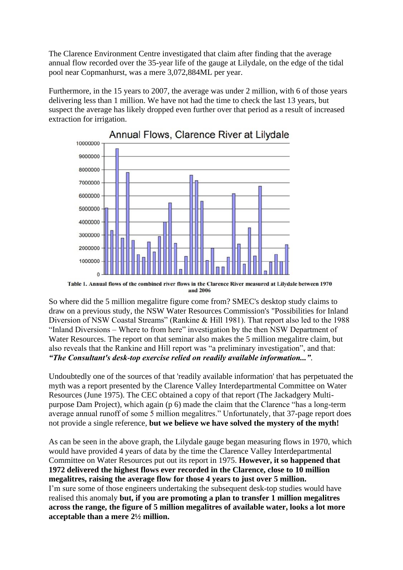The Clarence Environment Centre investigated that claim after finding that the average annual flow recorded over the 35-year life of the gauge at Lilydale, on the edge of the tidal pool near Copmanhurst, was a mere 3,072,884ML per year.

Furthermore, in the 15 years to 2007, the average was under 2 million, with 6 of those years delivering less than 1 million. We have not had the time to check the last 13 years, but suspect the average has likely dropped even further over that period as a result of increased extraction for irrigation.



Annual Flows, Clarence River at Lilydale

So where did the 5 million megalitre figure come from? SMEC's desktop study claims to draw on a previous study, the NSW Water Resources Commission's "Possibilities for Inland Diversion of NSW Coastal Streams" (Rankine & Hill 1981). That report also led to the 1988 "Inland Diversions – Where to from here" investigation by the then NSW Department of Water Resources. The report on that seminar also makes the 5 million megalitre claim, but also reveals that the Rankine and Hill report was "a preliminary investigation", and that: *"The Consultant's desk-top exercise relied on readily available information..."*.

Undoubtedly one of the sources of that 'readily available information' that has perpetuated the myth was a report presented by the Clarence Valley Interdepartmental Committee on Water Resources (June 1975). The CEC obtained a copy of that report (The Jackadgery Multipurpose Dam Project), which again (p 6) made the claim that the Clarence "has a long-term average annual runoff of some 5 million megalitres." Unfortunately, that 37-page report does not provide a single reference, **but we believe we have solved the mystery of the myth!**

As can be seen in the above graph, the Lilydale gauge began measuring flows in 1970, which would have provided 4 years of data by the time the Clarence Valley Interdepartmental Committee on Water Resources put out its report in 1975. **However, it so happened that 1972 delivered the highest flows ever recorded in the Clarence, close to 10 million megalitres, raising the average flow for those 4 years to just over 5 million.** I'm sure some of those engineers undertaking the subsequent desk-top studies would have realised this anomaly **but, if you are promoting a plan to transfer 1 million megalitres across the range, the figure of 5 million megalitres of available water, looks a lot more acceptable than a mere 2½ million.**

Table 1. Annual flows of the combined river flows in the Clarence River measured at Lilydale between 1970 and 2006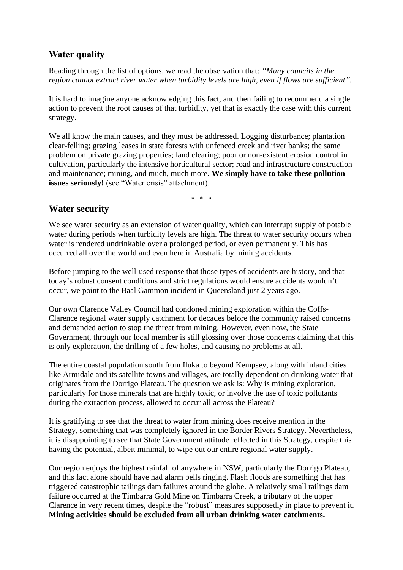## **Water quality**

Reading through the list of options, we read the observation that: *"Many councils in the region cannot extract river water when turbidity levels are high, even if flows are sufficient".*

It is hard to imagine anyone acknowledging this fact, and then failing to recommend a single action to prevent the root causes of that turbidity, yet that is exactly the case with this current strategy.

We all know the main causes, and they must be addressed. Logging disturbance; plantation clear-felling; grazing leases in state forests with unfenced creek and river banks; the same problem on private grazing properties; land clearing; poor or non-existent erosion control in cultivation, particularly the intensive horticultural sector; road and infrastructure construction and maintenance; mining, and much, much more. **We simply have to take these pollution issues seriously!** (see "Water crisis" attachment).

\* \* \*

## **Water security**

We see water security as an extension of water quality, which can interrupt supply of potable water during periods when turbidity levels are high. The threat to water security occurs when water is rendered undrinkable over a prolonged period, or even permanently. This has occurred all over the world and even here in Australia by mining accidents.

Before jumping to the well-used response that those types of accidents are history, and that today's robust consent conditions and strict regulations would ensure accidents wouldn't occur, we point to the Baal Gammon incident in Queensland just 2 years ago.

Our own Clarence Valley Council had condoned mining exploration within the Coffs-Clarence regional water supply catchment for decades before the community raised concerns and demanded action to stop the threat from mining. However, even now, the State Government, through our local member is still glossing over those concerns claiming that this is only exploration, the drilling of a few holes, and causing no problems at all.

The entire coastal population south from Iluka to beyond Kempsey, along with inland cities like Armidale and its satellite towns and villages, are totally dependent on drinking water that originates from the Dorrigo Plateau. The question we ask is: Why is mining exploration, particularly for those minerals that are highly toxic, or involve the use of toxic pollutants during the extraction process, allowed to occur all across the Plateau?

It is gratifying to see that the threat to water from mining does receive mention in the Strategy, something that was completely ignored in the Border Rivers Strategy. Nevertheless, it is disappointing to see that State Government attitude reflected in this Strategy, despite this having the potential, albeit minimal, to wipe out our entire regional water supply.

Our region enjoys the highest rainfall of anywhere in NSW, particularly the Dorrigo Plateau, and this fact alone should have had alarm bells ringing. Flash floods are something that has triggered catastrophic tailings dam failures around the globe. A relatively small tailings dam failure occurred at the Timbarra Gold Mine on Timbarra Creek, a tributary of the upper Clarence in very recent times, despite the "robust" measures supposedly in place to prevent it. **Mining activities should be excluded from all urban drinking water catchments.**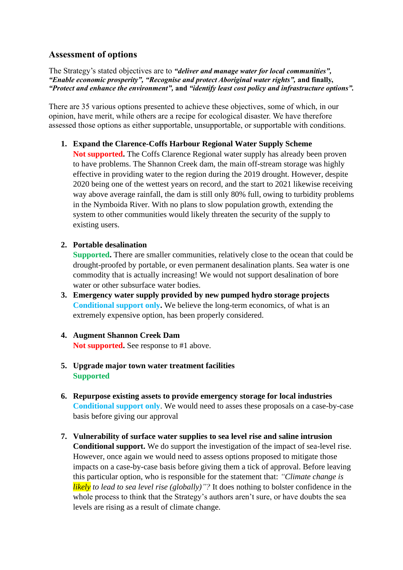### **Assessment of options**

The Strategy's stated objectives are to *"deliver and manage water for local communities", "Enable economic prosperity", "Recognise and protect Aboriginal water rights",* **and finally,**  *"Protect and enhance the environment",* **and** *"identify least cost policy and infrastructure options".*

There are 35 various options presented to achieve these objectives, some of which, in our opinion, have merit, while others are a recipe for ecological disaster. We have therefore assessed those options as either supportable, unsupportable, or supportable with conditions.

**1. Expand the Clarence-Coffs Harbour Regional Water Supply Scheme** 

**Not supported.** The Coffs Clarence Regional water supply has already been proven to have problems. The Shannon Creek dam, the main off-stream storage was highly effective in providing water to the region during the 2019 drought. However, despite 2020 being one of the wettest years on record, and the start to 2021 likewise receiving way above average rainfall, the dam is still only 80% full, owing to turbidity problems in the Nymboida River. With no plans to slow population growth, extending the system to other communities would likely threaten the security of the supply to existing users.

**2. Portable desalination** 

**Supported.** There are smaller communities, relatively close to the ocean that could be drought-proofed by portable, or even permanent desalination plants. Sea water is one commodity that is actually increasing! We would not support desalination of bore water or other subsurface water bodies.

- **3. Emergency water supply provided by new pumped hydro storage projects Conditional support only.** We believe the long-term economics, of what is an extremely expensive option, has been properly considered.
- **4. Augment Shannon Creek Dam Not supported.** See response to #1 above.
- **5. Upgrade major town water treatment facilities Supported**
- **6. Repurpose existing assets to provide emergency storage for local industries Conditional support only**. We would need to asses these proposals on a case-by-case basis before giving our approval
- **7. Vulnerability of surface water supplies to sea level rise and saline intrusion Conditional support.** We do support the investigation of the impact of sea-level rise. However, once again we would need to assess options proposed to mitigate those impacts on a case-by-case basis before giving them a tick of approval. Before leaving this particular option, who is responsible for the statement that: *"Climate change is likely to lead to sea level rise (globally)"?* It does nothing to bolster confidence in the whole process to think that the Strategy's authors aren't sure, or have doubts the sea levels are rising as a result of climate change.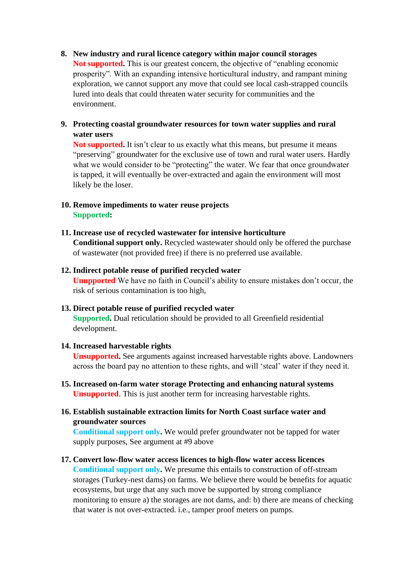- **8. New industry and rural licence category within major council storages Not supported.** This is our greatest concern, the objective of "enabling economic prosperity". With an expanding intensive horticultural industry, and rampant mining exploration, we cannot support any move that could see local cash-strapped councils lured into deals that could threaten water security for communities and the environment.
- **9. Protecting coastal groundwater resources for town water supplies and rural water users**

**Not supported.** It isn't clear to us exactly what this means, but presume it means "preserving" groundwater for the exclusive use of town and rural water users. Hardly what we would consider to be "protecting" the water. We fear that once groundwater is tapped, it will eventually be over-extracted and again the environment will most likely be the loser.

#### **10. Remove impediments to water reuse projects Supported:**

#### **11. Increase use of recycled wastewater for intensive horticulture**

**Conditional support only.** Recycled wastewater should only be offered the purchase of wastewater (not provided free) if there is no preferred use available.

#### **12. Indirect potable reuse of purified recycled water**

**Unupported** We have no faith in Council's ability to ensure mistakes don't occur, the risk of serious contamination is too high,

#### **13. Direct potable reuse of purified recycled water**

**Supported.** Dual reticulation should be provided to all Greenfield residential development.

#### **14. Increased harvestable rights**

**Unsupported.** See arguments against increased harvestable rights above. Landowners across the board pay no attention to these rights, and will 'steal' water if they need it.

**15. Increased on-farm water storage Protecting and enhancing natural systems Unsupported**. This is just another term for increasing harvestable rights.

### **16. Establish sustainable extraction limits for North Coast surface water and groundwater sources**

**Conditional support only.** We would prefer groundwater not be tapped for water supply purposes, See argument at #9 above

**17. Convert low-flow water access licences to high-flow water access licences Conditional support only.** We presume this entails to construction of off-stream storages (Turkey-nest dams) on farms. We believe there would be benefits for aquatic ecosystems, but urge that any such move be supported by strong compliance monitoring to ensure a) the storages are not dams, and: b) there are means of checking that water is not over-extracted. i.e., tamper proof meters on pumps.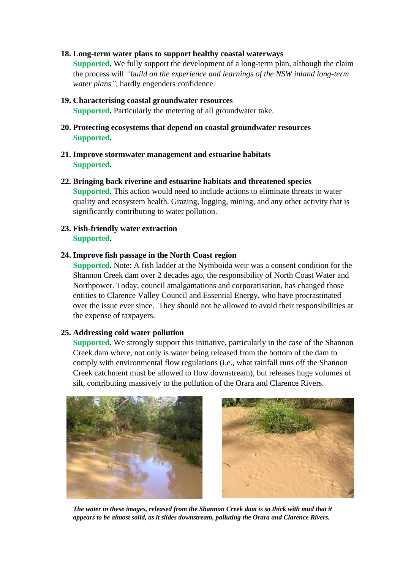#### **18. Long-term water plans to support healthy coastal waterways**

**Supported.** We fully support the development of a long-term plan, although the claim the process will *"build on the experience and learnings of the NSW inland long-term water plans"*, hardly engenders confidence.

- **19. Characterising coastal groundwater resources Supported.** Particularly the metering of all groundwater take.
- **20. Protecting ecosystems that depend on coastal groundwater resources Supported.**
- **21. Improve stormwater management and estuarine habitats Supported.**
- **22. Bringing back riverine and estuarine habitats and threatened species Supported.** This action would need to include actions to eliminate threats to water quality and ecosystem health. Grazing, logging, mining, and any other activity that is significantly contributing to water pollution.
- **23. Fish-friendly water extraction Supported.**

#### **24. Improve fish passage in the North Coast region**

**Supported.** Note: A fish ladder at the Nymboida weir was a consent condition for the Shannon Creek dam over 2 decades ago, the responsibility of North Coast Water and Northpower. Today, council amalgamations and corporatisation, has changed those entities to Clarence Valley Council and Essential Energy, who have procrastinated over the issue ever since. They should not be allowed to avoid their responsibilities at the expense of taxpayers.

#### **25. Addressing cold water pollution**

**Supported.** We strongly support this initiative, particularly in the case of the Shannon Creek dam where, not only is water being released from the bottom of the dam to comply with environmental flow regulations (i.e., what rainfall runs off the Shannon Creek catchment must be allowed to flow downstream), but releases huge volumes of silt, contributing massively to the pollution of the Orara and Clarence Rivers.





*The water in these images, released from the Shannon Creek dam is so thick with mud that it appears to be almost solid, as it slides downstream, polluting the Orara and Clarence Rivers.*